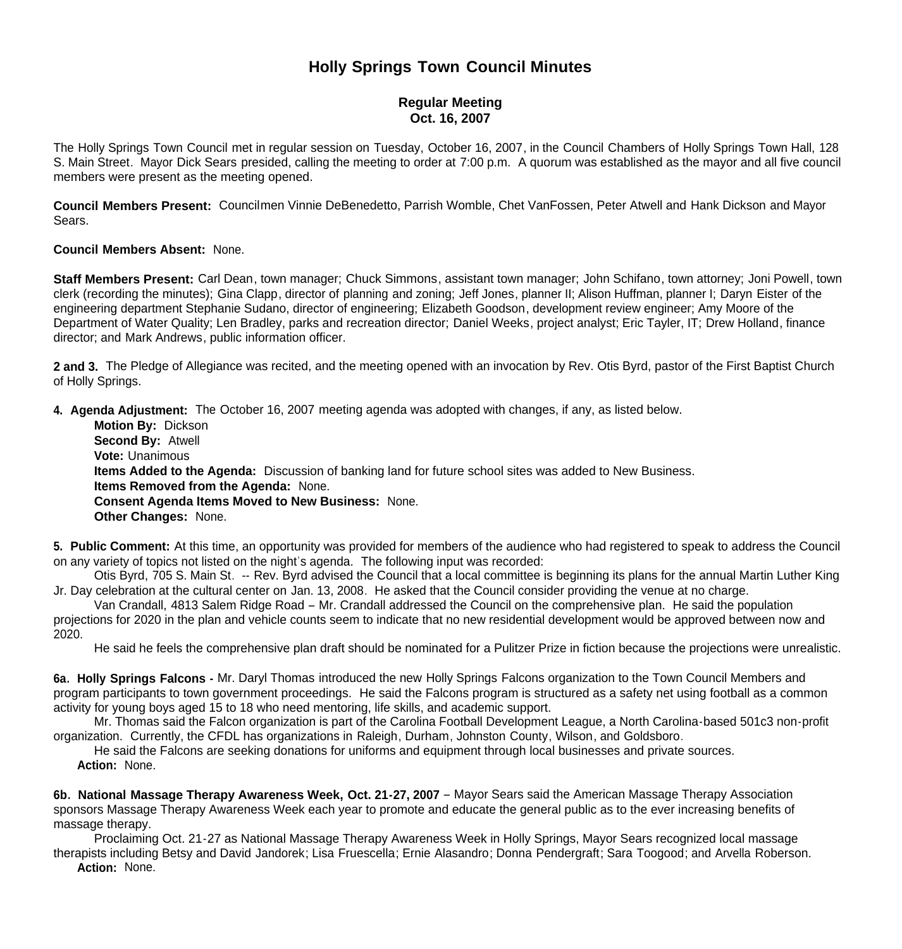# **Holly Springs Town Council Minutes**

## **Regular Meeting Oct. 16, 2007**

The Holly Springs Town Council met in regular session on Tuesday, October 16, 2007, in the Council Chambers of Holly Springs Town Hall, 128 S. Main Street. Mayor Dick Sears presided, calling the meeting to order at 7:00 p.m. A quorum was established as the mayor and all five council members were present as the meeting opened.

**Council Members Present:** Councilmen Vinnie DeBenedetto, Parrish Womble, Chet VanFossen, Peter Atwell and Hank Dickson and Mayor Sears.

#### **Council Members Absent:** None.

**Staff Members Present:** Carl Dean, town manager; Chuck Simmons, assistant town manager; John Schifano, town attorney; Joni Powell, town clerk (recording the minutes); Gina Clapp, director of planning and zoning; Jeff Jones, planner II; Alison Huffman, planner I; Daryn Eister of the engineering department Stephanie Sudano, director of engineering; Elizabeth Goodson, development review engineer; Amy Moore of the Department of Water Quality; Len Bradley, parks and recreation director; Daniel Weeks, project analyst; Eric Tayler, IT; Drew Holland, finance director; and Mark Andrews, public information officer.

**2 and 3.** The Pledge of Allegiance was recited, and the meeting opened with an invocation by Rev. Otis Byrd, pastor of the First Baptist Church of Holly Springs.

**4. Agenda Adjustment:** The October 16, 2007 meeting agenda was adopted with changes, if any, as listed below.

 **Motion By:** Dickson **Second By:** Atwell **Vote:** Unanimous **Items Added to the Agenda:** Discussion of banking land for future school sites was added to New Business. **Items Removed from the Agenda:** None. **Consent Agenda Items Moved to New Business:** None. **Other Changes:** None.

**5. Public Comment:** At this time, an opportunity was provided for members of the audience who had registered to speak to address the Council on any variety of topics not listed on the night's agenda. The following input was recorded:

Otis Byrd, 705 S. Main St. -- Rev. Byrd advised the Council that a local committee is beginning its plans for the annual Martin Luther King Jr. Day celebration at the cultural center on Jan. 13, 2008. He asked that the Council consider providing the venue at no charge.

 Van Crandall, 4813 Salem Ridge Road – Mr. Crandall addressed the Council on the comprehensive plan. He said the population projections for 2020 in the plan and vehicle counts seem to indicate that no new residential development would be approved between now and 2020.

He said he feels the comprehensive plan draft should be nominated for a Pulitzer Prize in fiction because the projections were unrealistic.

**6a. Holly Springs Falcons -** Mr. Daryl Thomas introduced the new Holly Springs Falcons organization to the Town Council Members and program participants to town government proceedings. He said the Falcons program is structured as a safety net using football as a common activity for young boys aged 15 to 18 who need mentoring, life skills, and academic support.

 Mr. Thomas said the Falcon organization is part of the Carolina Football Development League, a North Carolina-based 501c3 non-profit organization. Currently, the CFDL has organizations in Raleigh, Durham, Johnston County, Wilson, and Goldsboro.

 He said the Falcons are seeking donations for uniforms and equipment through local businesses and private sources.  **Action:** None.

**6b. National Massage Therapy Awareness Week, Oct. 21-27, 2007** – Mayor Sears said the American Massage Therapy Association sponsors Massage Therapy Awareness Week each year to promote and educate the general public as to the ever increasing benefits of massage therapy.

 Proclaiming Oct. 21-27 as National Massage Therapy Awareness Week in Holly Springs, Mayor Sears recognized local massage therapists including Betsy and David Jandorek; Lisa Fruescella; Ernie Alasandro; Donna Pendergraft; Sara Toogood; and Arvella Roberson. **Action:** None.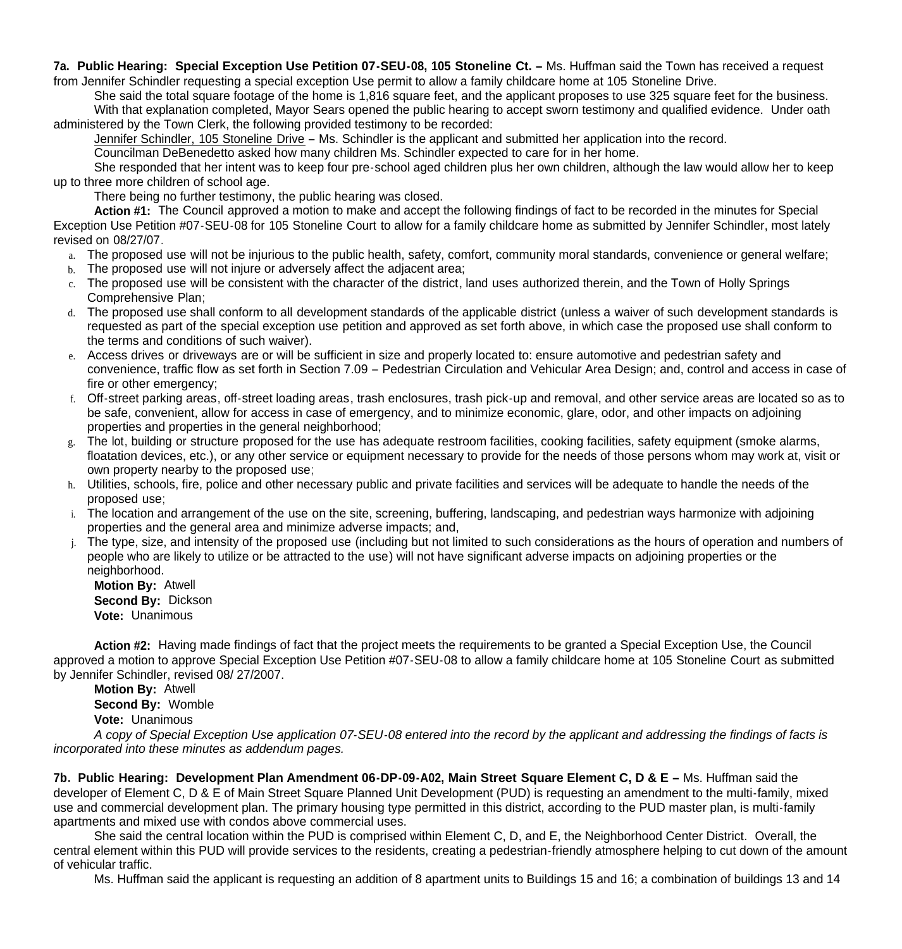**7a. Public Hearing: Special Exception Use Petition 07-SEU-08, 105 Stoneline Ct. –** Ms. Huffman said the Town has received a request from Jennifer Schindler requesting a special exception Use permit to allow a family childcare home at 105 Stoneline Drive.

 She said the total square footage of the home is 1,816 square feet, and the applicant proposes to use 325 square feet for the business. With that explanation completed, Mayor Sears opened the public hearing to accept sworn testimony and qualified evidence. Under oath administered by the Town Clerk, the following provided testimony to be recorded:

Jennifer Schindler, 105 Stoneline Drive – Ms. Schindler is the applicant and submitted her application into the record.

Councilman DeBenedetto asked how many children Ms. Schindler expected to care for in her home.

She responded that her intent was to keep four pre-school aged children plus her own children, although the law would allow her to keep up to three more children of school age.

There being no further testimony, the public hearing was closed.

 **Action #1:** The Council approved a motion to make and accept the following findings of fact to be recorded in the minutes for Special Exception Use Petition #07-SEU-08 for 105 Stoneline Court to allow for a family childcare home as submitted by Jennifer Schindler, most lately revised on 08/27/07.

- a. The proposed use will not be injurious to the public health, safety, comfort, community moral standards, convenience or general welfare;
- b. The proposed use will not injure or adversely affect the adjacent area:
- c. The proposed use will be consistent with the character of the district, land uses authorized therein, and the Town of Holly Springs Comprehensive Plan;
- d. The proposed use shall conform to all development standards of the applicable district (unless a waiver of such development standards is requested as part of the special exception use petition and approved as set forth above, in which case the proposed use shall conform to the terms and conditions of such waiver).
- e. Access drives or driveways are or will be sufficient in size and properly located to: ensure automotive and pedestrian safety and convenience, traffic flow as set forth in Section 7.09 – Pedestrian Circulation and Vehicular Area Design; and, control and access in case of fire or other emergency;
- f. Off-street parking areas, off-street loading areas, trash enclosures, trash pick-up and removal, and other service areas are located so as to be safe, convenient, allow for access in case of emergency, and to minimize economic, glare, odor, and other impacts on adjoining properties and properties in the general neighborhood;
- g. The lot, building or structure proposed for the use has adequate restroom facilities, cooking facilities, safety equipment (smoke alarms, floatation devices, etc.), or any other service or equipment necessary to provide for the needs of those persons whom may work at, visit or own property nearby to the proposed use;
- h. Utilities, schools, fire, police and other necessary public and private facilities and services will be adequate to handle the needs of the proposed use;
- i. The location and arrangement of the use on the site, screening, buffering, landscaping, and pedestrian ways harmonize with adjoining properties and the general area and minimize adverse impacts; and,
- j. The type, size, and intensity of the proposed use (including but not limited to such considerations as the hours of operation and numbers of people who are likely to utilize or be attracted to the use) will not have significant adverse impacts on adjoining properties or the neighborhood.

 **Motion By:** Atwell **Second By:** Dickson **Vote:** Unanimous

**Action #2:** Having made findings of fact that the project meets the requirements to be granted a Special Exception Use, the Council approved a motion to approve Special Exception Use Petition #07-SEU-08 to allow a family childcare home at 105 Stoneline Court as submitted by Jennifer Schindler, revised 08/ 27/2007.

 **Motion By:** Atwell **Second By:** Womble **Vote:** Unanimous

*A copy of Special Exception Use application 07-SEU-08 entered into the record by the applicant and addressing the findings of facts is incorporated into these minutes as addendum pages.*

**7b. Public Hearing: Development Plan Amendment 06-DP-09-A02, Main Street Square Element C, D & E –** Ms. Huffman said the developer of Element C, D & E of Main Street Square Planned Unit Development (PUD) is requesting an amendment to the multi-family, mixed use and commercial development plan. The primary housing type permitted in this district, according to the PUD master plan, is multi-family apartments and mixed use with condos above commercial uses.

 She said the central location within the PUD is comprised within Element C, D, and E, the Neighborhood Center District. Overall, the central element within this PUD will provide services to the residents, creating a pedestrian-friendly atmosphere helping to cut down of the amount of vehicular traffic.

Ms. Huffman said the applicant is requesting an addition of 8 apartment units to Buildings 15 and 16; a combination of buildings 13 and 14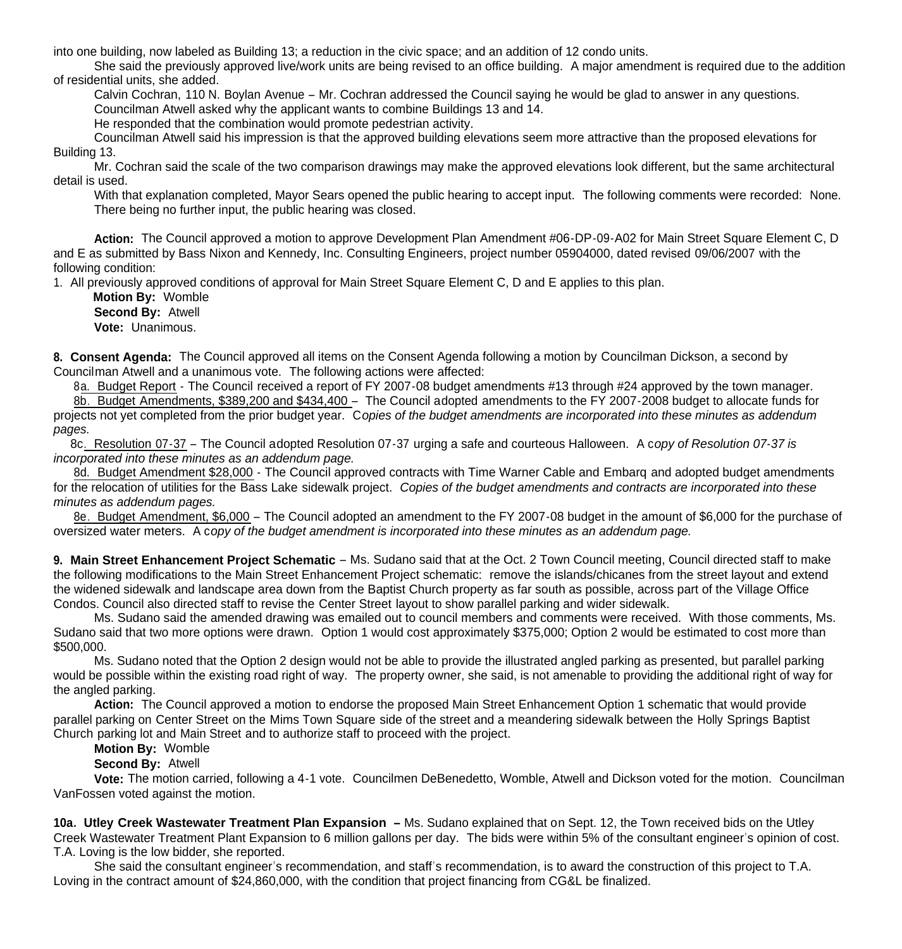into one building, now labeled as Building 13; a reduction in the civic space; and an addition of 12 condo units.

 She said the previously approved live/work units are being revised to an office building. A major amendment is required due to the addition of residential units, she added.

Calvin Cochran, 110 N. Boylan Avenue – Mr. Cochran addressed the Council saying he would be glad to answer in any questions.

Councilman Atwell asked why the applicant wants to combine Buildings 13 and 14.

He responded that the combination would promote pedestrian activity.

Councilman Atwell said his impression is that the approved building elevations seem more attractive than the proposed elevations for Building 13.

Mr. Cochran said the scale of the two comparison drawings may make the approved elevations look different, but the same architectural detail is used.

With that explanation completed, Mayor Sears opened the public hearing to accept input. The following comments were recorded: None. There being no further input, the public hearing was closed.

 **Action:** The Council approved a motion to approve Development Plan Amendment #06-DP-09-A02 for Main Street Square Element C, D and E as submitted by Bass Nixon and Kennedy, Inc. Consulting Engineers, project number 05904000, dated revised 09/06/2007 with the following condition:

1. All previously approved conditions of approval for Main Street Square Element C, D and E applies to this plan.

 **Motion By:** Womble **Second By:** Atwell **Vote:** Unanimous.

**8. Consent Agenda:** The Council approved all items on the Consent Agenda following a motion by Councilman Dickson, a second by Councilman Atwell and a unanimous vote. The following actions were affected:

8a. Budget Report - The Council received a report of FY 2007-08 budget amendments #13 through #24 approved by the town manager.

8b. Budget Amendments, \$389,200 and \$434,400 – The Council adopted amendments to the FY 2007-2008 budget to allocate funds for projects not yet completed from the prior budget year. C*opies of the budget amendments are incorporated into these minutes as addendum pages.*

 8c. Resolution 07-37 – The Council adopted Resolution 07-37 urging a safe and courteous Halloween. A c*opy of Resolution 07-37 is incorporated into these minutes as an addendum page.*

8d. Budget Amendment \$28,000 - The Council approved contracts with Time Warner Cable and Embarq and adopted budget amendments for the relocation of utilities for the Bass Lake sidewalk project. *Copies of the budget amendments and contracts are incorporated into these minutes as addendum pages.*

 8e. Budget Amendment, \$6,000 – The Council adopted an amendment to the FY 2007-08 budget in the amount of \$6,000 for the purchase of oversized water meters. A c*opy of the budget amendment is incorporated into these minutes as an addendum page.*

**9. Main Street Enhancement Project Schematic** – Ms. Sudano said that at the Oct. 2 Town Council meeting, Council directed staff to make the following modifications to the Main Street Enhancement Project schematic: remove the islands/chicanes from the street layout and extend the widened sidewalk and landscape area down from the Baptist Church property as far south as possible, across part of the Village Office Condos. Council also directed staff to revise the Center Street layout to show parallel parking and wider sidewalk.

Ms. Sudano said the amended drawing was emailed out to council members and comments were received. With those comments, Ms. Sudano said that two more options were drawn. Option 1 would cost approximately \$375,000; Option 2 would be estimated to cost more than \$500,000.

 Ms. Sudano noted that the Option 2 design would not be able to provide the illustrated angled parking as presented, but parallel parking would be possible within the existing road right of way. The property owner, she said, is not amenable to providing the additional right of way for the angled parking.

 **Action:** The Council approved a motion to endorse the proposed Main Street Enhancement Option 1 schematic that would provide parallel parking on Center Street on the Mims Town Square side of the street and a meandering sidewalk between the Holly Springs Baptist Church parking lot and Main Street and to authorize staff to proceed with the project.

## **Motion By:** Womble

## **Second By:** Atwell

 **Vote:** The motion carried, following a 4-1 vote. Councilmen DeBenedetto, Womble, Atwell and Dickson voted for the motion. Councilman VanFossen voted against the motion.

**10a. Utley Creek Wastewater Treatment Plan Expansion –** Ms. Sudano explained that on Sept. 12, the Town received bids on the Utley Creek Wastewater Treatment Plant Expansion to 6 million gallons per day. The bids were within 5% of the consultant engineer's opinion of cost. T.A. Loving is the low bidder, she reported.

 She said the consultant engineer's recommendation, and staff's recommendation, is to award the construction of this project to T.A. Loving in the contract amount of \$24,860,000, with the condition that project financing from CG&L be finalized.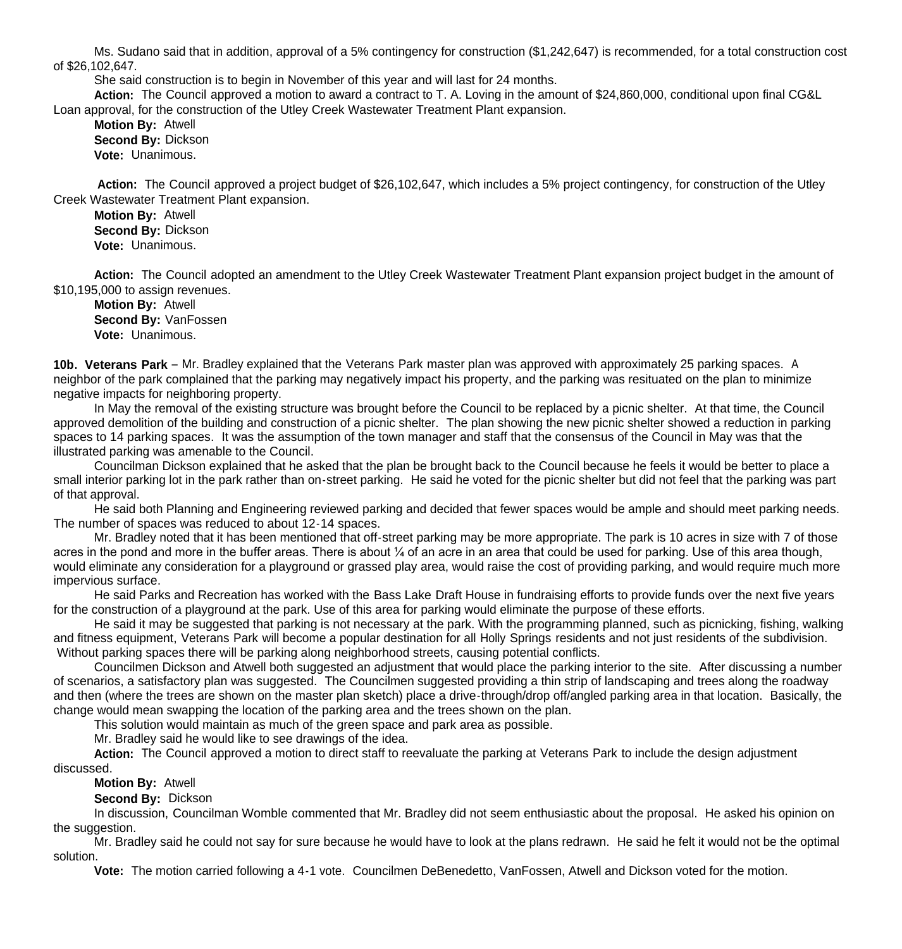Ms. Sudano said that in addition, approval of a 5% contingency for construction (\$1,242,647) is recommended, for a total construction cost of \$26,102,647.

She said construction is to begin in November of this year and will last for 24 months.

 **Action:** The Council approved a motion to award a contract to T. A. Loving in the amount of \$24,860,000, conditional upon final CG&L Loan approval, for the construction of the Utley Creek Wastewater Treatment Plant expansion.

 **Motion By:** Atwell **Second By:** Dickson **Vote:** Unanimous.

 **Action:** The Council approved a project budget of \$26,102,647, which includes a 5% project contingency, for construction of the Utley Creek Wastewater Treatment Plant expansion.

 **Motion By:** Atwell **Second By:** Dickson **Vote:** Unanimous.

 **Action:** The Council adopted an amendment to the Utley Creek Wastewater Treatment Plant expansion project budget in the amount of \$10,195,000 to assign revenues.

 **Motion By:** Atwell **Second By:** VanFossen **Vote:** Unanimous.

**10b. Veterans Park** – Mr. Bradley explained that the Veterans Park master plan was approved with approximately 25 parking spaces. A neighbor of the park complained that the parking may negatively impact his property, and the parking was resituated on the plan to minimize negative impacts for neighboring property.

In May the removal of the existing structure was brought before the Council to be replaced by a picnic shelter. At that time, the Council approved demolition of the building and construction of a picnic shelter. The plan showing the new picnic shelter showed a reduction in parking spaces to 14 parking spaces. It was the assumption of the town manager and staff that the consensus of the Council in May was that the illustrated parking was amenable to the Council.

Councilman Dickson explained that he asked that the plan be brought back to the Council because he feels it would be better to place a small interior parking lot in the park rather than on-street parking. He said he voted for the picnic shelter but did not feel that the parking was part of that approval.

 He said both Planning and Engineering reviewed parking and decided that fewer spaces would be ample and should meet parking needs. The number of spaces was reduced to about 12-14 spaces.

 Mr. Bradley noted that it has been mentioned that off-street parking may be more appropriate. The park is 10 acres in size with 7 of those acres in the pond and more in the buffer areas. There is about ¼ of an acre in an area that could be used for parking. Use of this area though, would eliminate any consideration for a playground or grassed play area, would raise the cost of providing parking, and would require much more impervious surface.

 He said Parks and Recreation has worked with the Bass Lake Draft House in fundraising efforts to provide funds over the next five years for the construction of a playground at the park. Use of this area for parking would eliminate the purpose of these efforts.

 He said it may be suggested that parking is not necessary at the park. With the programming planned, such as picnicking, fishing, walking and fitness equipment, Veterans Park will become a popular destination for all Holly Springs residents and not just residents of the subdivision. Without parking spaces there will be parking along neighborhood streets, causing potential conflicts.

 Councilmen Dickson and Atwell both suggested an adjustment that would place the parking interior to the site. After discussing a number of scenarios, a satisfactory plan was suggested. The Councilmen suggested providing a thin strip of landscaping and trees along the roadway and then (where the trees are shown on the master plan sketch) place a drive-through/drop off/angled parking area in that location. Basically, the change would mean swapping the location of the parking area and the trees shown on the plan.

This solution would maintain as much of the green space and park area as possible.

Mr. Bradley said he would like to see drawings of the idea.

**Action:** The Council approved a motion to direct staff to reevaluate the parking at Veterans Park to include the design adjustment discussed.

**Motion By:** Atwell

**Second By:** Dickson

 In discussion, Councilman Womble commented that Mr. Bradley did not seem enthusiastic about the proposal. He asked his opinion on the suggestion.

 Mr. Bradley said he could not say for sure because he would have to look at the plans redrawn. He said he felt it would not be the optimal solution.

**Vote:** The motion carried following a 4-1 vote. Councilmen DeBenedetto, VanFossen, Atwell and Dickson voted for the motion.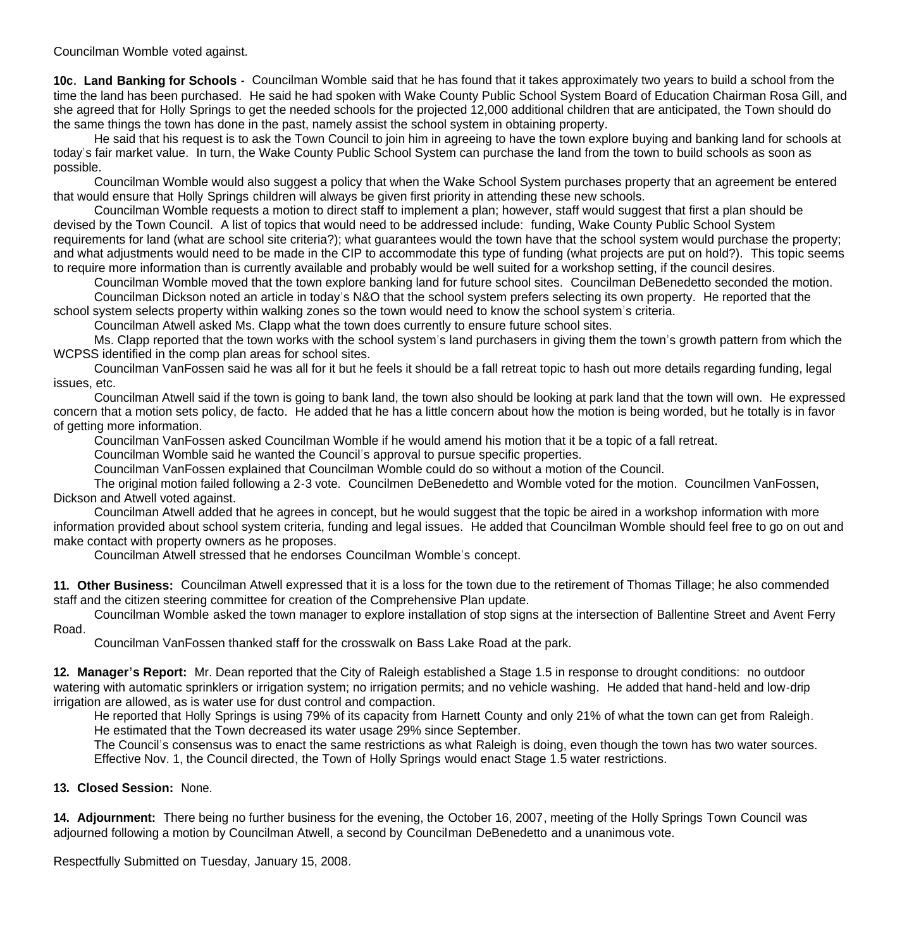Councilman Womble voted against.

**10c. Land Banking for Schools -** Councilman Womble said that he has found that it takes approximately two years to build a school from the time the land has been purchased. He said he had spoken with Wake County Public School System Board of Education Chairman Rosa Gill, and she agreed that for Holly Springs to get the needed schools for the projected 12,000 additional children that are anticipated, the Town should do the same things the town has done in the past, namely assist the school system in obtaining property.

 He said that his request is to ask the Town Council to join him in agreeing to have the town explore buying and banking land for schools at today's fair market value. In turn, the Wake County Public School System can purchase the land from the town to build schools as soon as possible.

 Councilman Womble would also suggest a policy that when the Wake School System purchases property that an agreement be entered that would ensure that Holly Springs children will always be given first priority in attending these new schools.

Councilman Womble requests a motion to direct staff to implement a plan; however, staff would suggest that first a plan should be devised by the Town Council. A list of topics that would need to be addressed include: funding, Wake County Public School System requirements for land (what are school site criteria?); what guarantees would the town have that the school system would purchase the property; and what adjustments would need to be made in the CIP to accommodate this type of funding (what projects are put on hold?). This topic seems to require more information than is currently available and probably would be well suited for a workshop setting, if the council desires.

Councilman Womble moved that the town explore banking land for future school sites. Councilman DeBenedetto seconded the motion.

Councilman Dickson noted an article in today's N&O that the school system prefers selecting its own property. He reported that the school system selects property within walking zones so the town would need to know the school system's criteria.

Councilman Atwell asked Ms. Clapp what the town does currently to ensure future school sites.

Ms. Clapp reported that the town works with the school system's land purchasers in giving them the town's growth pattern from which the WCPSS identified in the comp plan areas for school sites.

Councilman VanFossen said he was all for it but he feels it should be a fall retreat topic to hash out more details regarding funding, legal issues, etc.

Councilman Atwell said if the town is going to bank land, the town also should be looking at park land that the town will own. He expressed concern that a motion sets policy, de facto. He added that he has a little concern about how the motion is being worded, but he totally is in favor of getting more information.

Councilman VanFossen asked Councilman Womble if he would amend his motion that it be a topic of a fall retreat.

Councilman Womble said he wanted the Council's approval to pursue specific properties.

Councilman VanFossen explained that Councilman Womble could do so without a motion of the Council.

The original motion failed following a 2-3 vote. Councilmen DeBenedetto and Womble voted for the motion. Councilmen VanFossen, Dickson and Atwell voted against.

Councilman Atwell added that he agrees in concept, but he would suggest that the topic be aired in a workshop information with more information provided about school system criteria, funding and legal issues. He added that Councilman Womble should feel free to go on out and make contact with property owners as he proposes.

Councilman Atwell stressed that he endorses Councilman Womble's concept.

**11. Other Business:** Councilman Atwell expressed that it is a loss for the town due to the retirement of Thomas Tillage; he also commended staff and the citizen steering committee for creation of the Comprehensive Plan update.

 Councilman Womble asked the town manager to explore installation of stop signs at the intersection of Ballentine Street and Avent Ferry Road.

Councilman VanFossen thanked staff for the crosswalk on Bass Lake Road at the park.

**12. Manager's Report:** Mr. Dean reported that the City of Raleigh established a Stage 1.5 in response to drought conditions: no outdoor watering with automatic sprinklers or irrigation system; no irrigation permits; and no vehicle washing. He added that hand-held and low-drip irrigation are allowed, as is water use for dust control and compaction.

 He reported that Holly Springs is using 79% of its capacity from Harnett County and only 21% of what the town can get from Raleigh. He estimated that the Town decreased its water usage 29% since September.

 The Council's consensus was to enact the same restrictions as what Raleigh is doing, even though the town has two water sources. Effective Nov. 1, the Council directed, the Town of Holly Springs would enact Stage 1.5 water restrictions.

**13. Closed Session:** None.

**14. Adjournment:** There being no further business for the evening, the October 16, 2007, meeting of the Holly Springs Town Council was adjourned following a motion by Councilman Atwell, a second by Councilman DeBenedetto and a unanimous vote.

Respectfully Submitted on Tuesday, January 15, 2008.